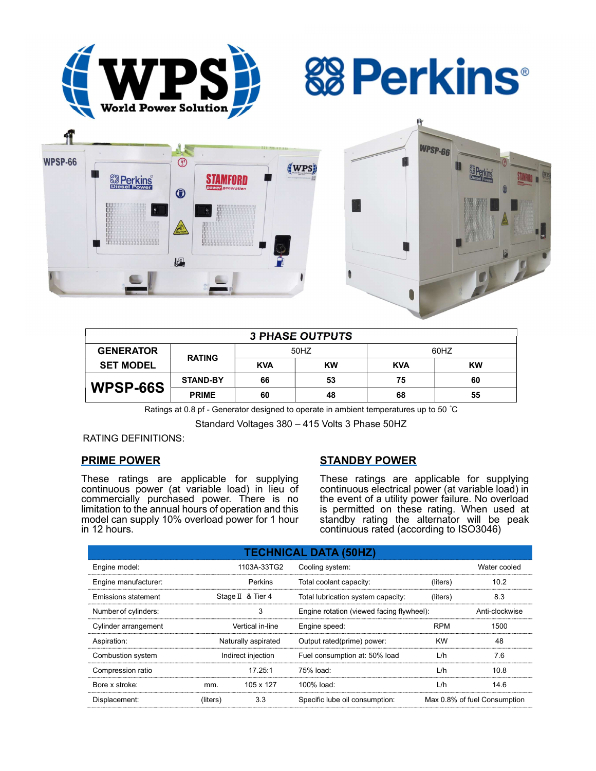

**&Perkins** 



| <b>3 PHASE OUTPUTS</b> |                 |            |           |            |           |  |  |  |
|------------------------|-----------------|------------|-----------|------------|-----------|--|--|--|
| <b>GENERATOR</b>       | <b>RATING</b>   | 50HZ       |           | 60HZ       |           |  |  |  |
| <b>SET MODEL</b>       |                 | <b>KVA</b> | <b>KW</b> | <b>KVA</b> | <b>KW</b> |  |  |  |
| WPSP-66S               | <b>STAND-BY</b> | 66         | 53        | 75         | 60        |  |  |  |
|                        | <b>PRIME</b>    | 60         | 48        | 68         | 55        |  |  |  |

Ratings at 0.8 pf - Generator designed to operate in ambient temperatures up to 50 °C

Standard Voltages 380 – 415 Volts 3 Phase 50HZ

## RATING DEFINITIONS:

# PRIME POWER

These ratings are applicable for supplying continuous power (at variable load) in lieu of commercially purchased power. There is no limitation to the annual hours of operation and this model can supply 10% overload power for 1 hour in 12 hours.

# STANDBY POWER

These ratings are applicable for supplying continuous electrical power (at variable load) in the event of a utility power failure. No overload is permitted on these rating. When used at standby rating the alternator will be peak continuous rated (according to ISO3046)

| <b>TECHNICAL DATA (50HZ)</b> |                     |                   |                                           |            |                              |  |  |  |  |
|------------------------------|---------------------|-------------------|-------------------------------------------|------------|------------------------------|--|--|--|--|
| Engine model:                |                     | 1103A-33TG2       | Cooling system:                           |            | Water cooled                 |  |  |  |  |
| Engine manufacturer:         |                     | Perkins           | Total coolant capacity:                   | (liters)   | 10.2                         |  |  |  |  |
| <b>Emissions statement</b>   |                     | Stage II & Tier 4 | Total lubrication system capacity:        | (liters)   | 8.3                          |  |  |  |  |
| Number of cylinders:         |                     | 3                 | Engine rotation (viewed facing flywheel): |            | Anti-clockwise               |  |  |  |  |
| Cylinder arrangement         | Vertical in-line    |                   | Engine speed:                             | <b>RPM</b> | 1500                         |  |  |  |  |
| Aspiration:                  | Naturally aspirated |                   | Output rated(prime) power:                | <b>KW</b>  | 48                           |  |  |  |  |
| Combustion system            | Indirect injection  |                   | Fuel consumption at: 50% load             | L/h        | 7.6                          |  |  |  |  |
| Compression ratio            |                     | 17.25:1           | 75% load:                                 | L/h        | 10.8                         |  |  |  |  |
| Bore x stroke:               | mm.                 | 105 x 127         | $100\%$ load:                             | L/h        | 14.6                         |  |  |  |  |
| Displacement:                | (liters)            | 3.3               | Specific lube oil consumption:            |            | Max 0.8% of fuel Consumption |  |  |  |  |